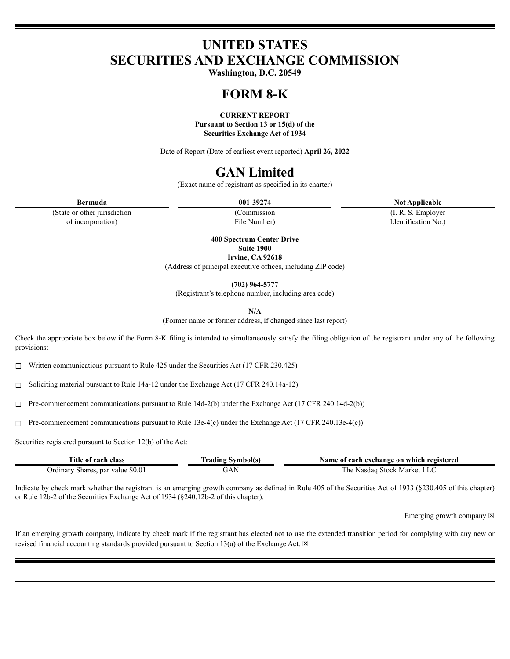# **UNITED STATES SECURITIES AND EXCHANGE COMMISSION**

**Washington, D.C. 20549**

# **FORM 8-K**

**CURRENT REPORT Pursuant to Section 13 or 15(d) of the Securities Exchange Act of 1934**

Date of Report (Date of earliest event reported) **April 26, 2022**

# **GAN Limited**

(Exact name of registrant as specified in its charter)

(Commission File Number)

(I. R. S. Employer Identification No.)

(State or other jurisdiction of incorporation)

> **400 Spectrum Center Drive Suite 1900**

**Irvine, CA 92618** (Address of principal executive offices, including ZIP code)

**(702) 964-5777**

(Registrant's telephone number, including area code)

**N/A**

(Former name or former address, if changed since last report)

Check the appropriate box below if the Form 8-K filing is intended to simultaneously satisfy the filing obligation of the registrant under any of the following provisions:

☐ Written communications pursuant to Rule 425 under the Securities Act (17 CFR 230.425)

☐ Soliciting material pursuant to Rule 14a-12 under the Exchange Act (17 CFR 240.14a-12)

 $\Box$  Pre-commencement communications pursuant to Rule 14d-2(b) under the Exchange Act (17 CFR 240.14d-2(b))

☐ Pre-commencement communications pursuant to Rule 13e-4(c) under the Exchange Act (17 CFR 240.13e-4(c))

Securities registered pursuant to Section 12(b) of the Act:

| Title of each class               | ' Symbol(s)<br>Fradıng | Name of each exchange on which registered |
|-----------------------------------|------------------------|-------------------------------------------|
| Ordinary Shares, par value \$0.01 | άΑ                     | ≅Nasdag Stock Market LLC<br>. he          |

Indicate by check mark whether the registrant is an emerging growth company as defined in Rule 405 of the Securities Act of 1933 (§230.405 of this chapter) or Rule 12b-2 of the Securities Exchange Act of 1934 (§240.12b-2 of this chapter).

Emerging growth company  $\boxtimes$ 

If an emerging growth company, indicate by check mark if the registrant has elected not to use the extended transition period for complying with any new or revised financial accounting standards provided pursuant to Section 13(a) of the Exchange Act.  $\boxtimes$ 

**Bermuda 001-39274 Not Applicable**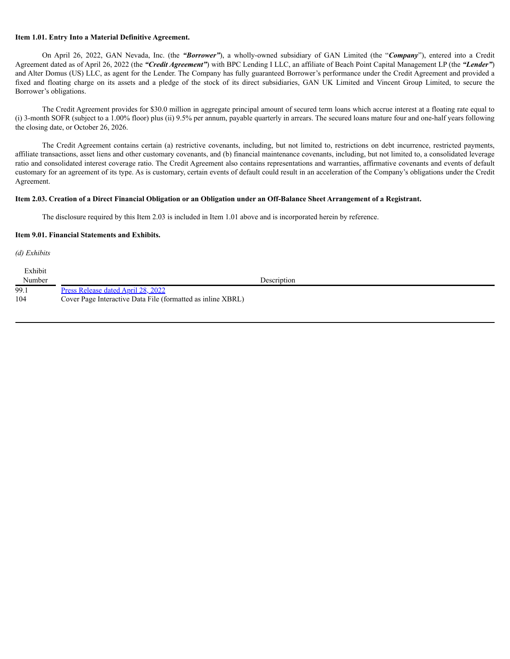### **Item 1.01. Entry Into a Material Definitive Agreement.**

On April 26, 2022, GAN Nevada, Inc. (the *"Borrower"*), a wholly-owned subsidiary of GAN Limited (the "*Company*"), entered into a Credit Agreement dated as of April 26, 2022 (the *"Credit Agreement"*) with BPC Lending I LLC, an affiliate of Beach Point Capital Management LP (the *"Lender"*) and Alter Domus (US) LLC, as agent for the Lender. The Company has fully guaranteed Borrower's performance under the Credit Agreement and provided a fixed and floating charge on its assets and a pledge of the stock of its direct subsidiaries, GAN UK Limited and Vincent Group Limited, to secure the Borrower's obligations.

The Credit Agreement provides for \$30.0 million in aggregate principal amount of secured term loans which accrue interest at a floating rate equal to (i) 3-month SOFR (subject to a 1.00% floor) plus (ii) 9.5% per annum, payable quarterly in arrears. The secured loans mature four and one-half years following the closing date, or October 26, 2026.

The Credit Agreement contains certain (a) restrictive covenants, including, but not limited to, restrictions on debt incurrence, restricted payments, affiliate transactions, asset liens and other customary covenants, and (b) financial maintenance covenants, including, but not limited to, a consolidated leverage ratio and consolidated interest coverage ratio. The Credit Agreement also contains representations and warranties, affirmative covenants and events of default customary for an agreement of its type. As is customary, certain events of default could result in an acceleration of the Company's obligations under the Credit Agreement.

#### Item 2.03. Creation of a Direct Financial Obligation or an Obligation under an Off-Balance Sheet Arrangement of a Registrant.

The disclosure required by this Item 2.03 is included in Item 1.01 above and is incorporated herein by reference.

#### **Item 9.01. Financial Statements and Exhibits.**

*(d) Exhibits*

| Exhibit |                                                             |  |
|---------|-------------------------------------------------------------|--|
| Number  | Description                                                 |  |
| 99.1    | Press Release dated April 28, 2022                          |  |
| 104     | Cover Page Interactive Data File (formatted as inline XBRL) |  |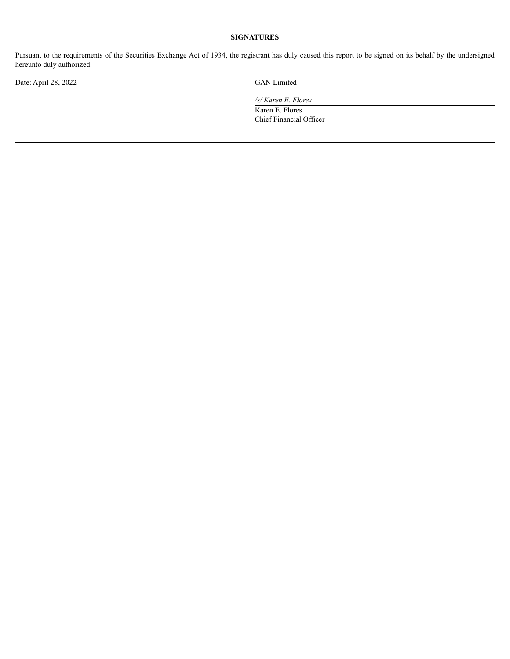## **SIGNATURES**

Pursuant to the requirements of the Securities Exchange Act of 1934, the registrant has duly caused this report to be signed on its behalf by the undersigned hereunto duly authorized.

Date: April 28, 2022 GAN Limited

*/s/ Karen E. Flores*

Karen E. Flores Chief Financial Officer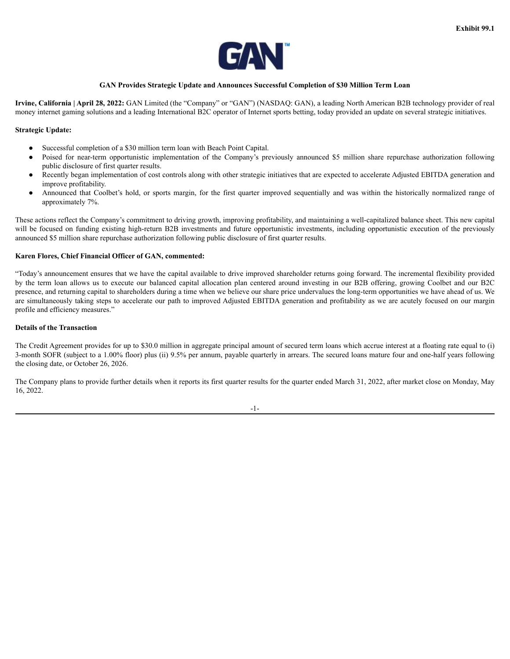

### **GAN Provides Strategic Update and Announces Successful Completion of \$30 Million Term Loan**

<span id="page-3-0"></span>**Irvine, California | April 28, 2022:** GAN Limited (the "Company" or "GAN") (NASDAQ: GAN), a leading North American B2B technology provider of real money internet gaming solutions and a leading International B2C operator of Internet sports betting, today provided an update on several strategic initiatives.

### **Strategic Update:**

- Successful completion of a \$30 million term loan with Beach Point Capital.
- Poised for near-term opportunistic implementation of the Company's previously announced \$5 million share repurchase authorization following public disclosure of first quarter results.
- Recently began implementation of cost controls along with other strategic initiatives that are expected to accelerate Adjusted EBITDA generation and improve profitability.
- Announced that Coolbet's hold, or sports margin, for the first quarter improved sequentially and was within the historically normalized range of approximately 7%.

These actions reflect the Company's commitment to driving growth, improving profitability, and maintaining a well-capitalized balance sheet. This new capital will be focused on funding existing high-return B2B investments and future opportunistic investments, including opportunistic execution of the previously announced \$5 million share repurchase authorization following public disclosure of first quarter results.

#### **Karen Flores, Chief Financial Officer of GAN, commented:**

"Today's announcement ensures that we have the capital available to drive improved shareholder returns going forward. The incremental flexibility provided by the term loan allows us to execute our balanced capital allocation plan centered around investing in our B2B offering, growing Coolbet and our B2C presence, and returning capital to shareholders during a time when we believe our share price undervalues the long-term opportunities we have ahead of us. We are simultaneously taking steps to accelerate our path to improved Adjusted EBITDA generation and profitability as we are acutely focused on our margin profile and efficiency measures."

### **Details of the Transaction**

The Credit Agreement provides for up to \$30.0 million in aggregate principal amount of secured term loans which accrue interest at a floating rate equal to (i) 3-month SOFR (subject to a 1.00% floor) plus (ii) 9.5% per annum, payable quarterly in arrears. The secured loans mature four and one-half years following the closing date, or October 26, 2026.

The Company plans to provide further details when it reports its first quarter results for the quarter ended March 31, 2022, after market close on Monday, May 16, 2022.